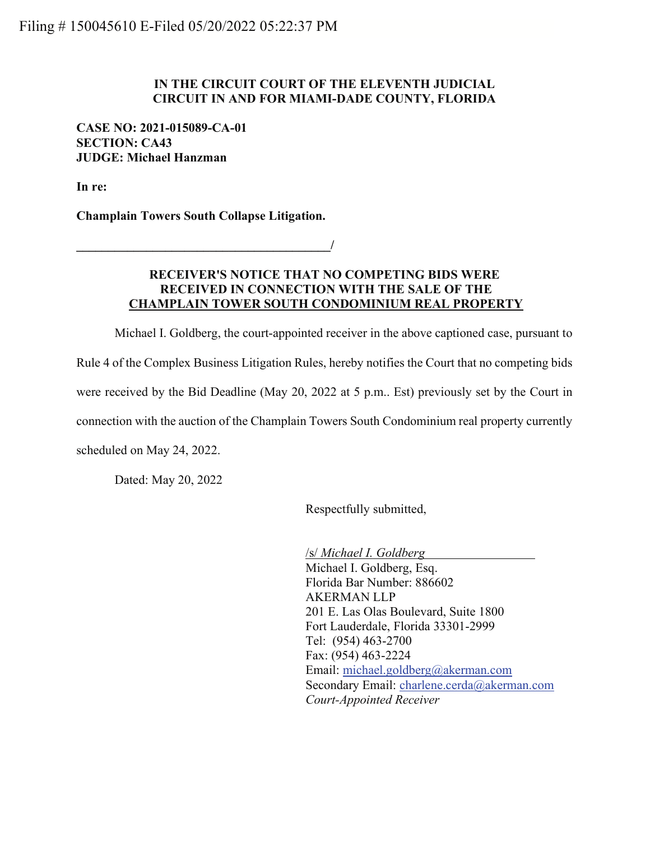## IN THE CIRCUIT COURT OF THE ELEVENTH JUDICIAL CIRCUIT IN AND FOR MIAMI-DADE COUNTY, FLORIDA

## CASE NO: 2021-015089-CA-01 SECTION: CA43 JUDGE: Michael Hanzman

In re:

Champlain Towers South Collapse Litigation.

 $\overline{\phantom{a}}$ 

## RECEIVER'S NOTICE THAT NO COMPETING BIDS WERE RECEIVED IN CONNECTION WITH THE SALE OF THE CHAMPLAIN TOWER SOUTH CONDOMINIUM REAL PROPERTY

Michael I. Goldberg, the court-appointed receiver in the above captioned case, pursuant to Rule 4 of the Complex Business Litigation Rules, hereby notifies the Court that no competing bids were received by the Bid Deadline (May 20, 2022 at 5 p.m.. Est) previously set by the Court in connection with the auction of the Champlain Towers South Condominium real property currently scheduled on May 24, 2022.

Dated: May 20, 2022

Respectfully submitted,

/s/ Michael I. Goldberg Michael I. Goldberg, Esq. Florida Bar Number: 886602 AKERMAN LLP 201 E. Las Olas Boulevard, Suite 1800 Fort Lauderdale, Florida 33301-2999 Tel: (954) 463-2700 Fax: (954) 463-2224 Email: michael.goldberg@akerman.com Secondary Email: charlene.cerda@akerman.com Court-Appointed Receiver